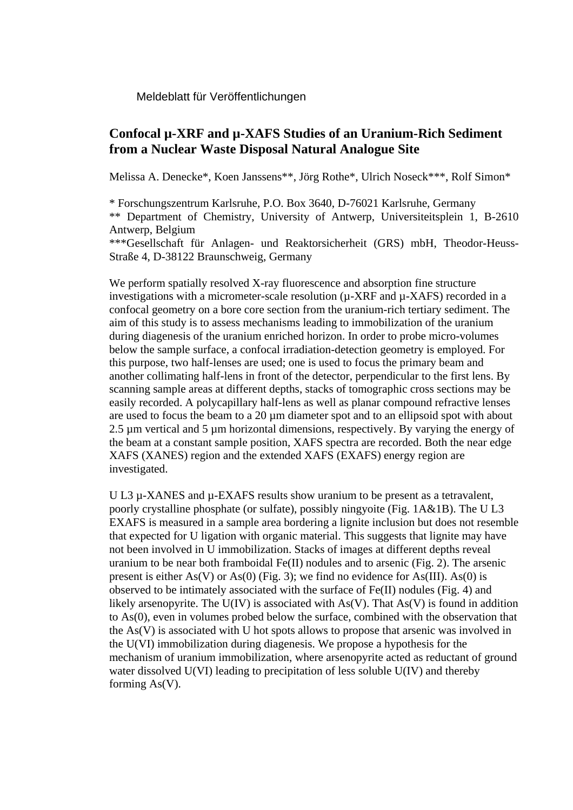Meldeblatt für Veröffentlichungen

## **Confocal µ-XRF and µ-XAFS Studies of an Uranium-Rich Sediment from a Nuclear Waste Disposal Natural Analogue Site**

Melissa A. Denecke\*, Koen Janssens\*\*, Jörg Rothe\*, Ulrich Noseck\*\*\*, Rolf Simon\*

\* Forschungszentrum Karlsruhe, P.O. Box 3640, D-76021 Karlsruhe, Germany \*\* Department of Chemistry, University of Antwerp, Universiteitsplein 1, B-2610 Antwerp, Belgium

\*\*\*Gesellschaft für Anlagen- und Reaktorsicherheit (GRS) mbH, Theodor-Heuss-Straße 4, D-38122 Braunschweig, Germany

We perform spatially resolved X-ray fluorescence and absorption fine structure investigations with a micrometer-scale resolution (µ-XRF and µ-XAFS) recorded in a confocal geometry on a bore core section from the uranium-rich tertiary sediment. The aim of this study is to assess mechanisms leading to immobilization of the uranium during diagenesis of the uranium enriched horizon. In order to probe micro-volumes below the sample surface, a confocal irradiation-detection geometry is employed. For this purpose, two half-lenses are used; one is used to focus the primary beam and another collimating half-lens in front of the detector, perpendicular to the first lens. By scanning sample areas at different depths, stacks of tomographic cross sections may be easily recorded. A polycapillary half-lens as well as planar compound refractive lenses are used to focus the beam to a 20 µm diameter spot and to an ellipsoid spot with about 2.5 µm vertical and 5 µm horizontal dimensions, respectively. By varying the energy of the beam at a constant sample position, XAFS spectra are recorded. Both the near edge XAFS (XANES) region and the extended XAFS (EXAFS) energy region are investigated.

U L3  $\mu$ -XANES and  $\mu$ -EXAFS results show uranium to be present as a tetravalent, poorly crystalline phosphate (or sulfate), possibly ningyoite (Fig. 1A&1B). The U L3 EXAFS is measured in a sample area bordering a lignite inclusion but does not resemble that expected for U ligation with organic material. This suggests that lignite may have not been involved in U immobilization. Stacks of images at different depths reveal uranium to be near both framboidal Fe(II) nodules and to arsenic (Fig. 2). The arsenic present is either As(V) or As(0) (Fig. 3); we find no evidence for As(III). As(0) is observed to be intimately associated with the surface of Fe(II) nodules (Fig. 4) and likely arsenopyrite. The  $U(V)$  is associated with  $As(V)$ . That  $As(V)$  is found in addition to As(0), even in volumes probed below the surface, combined with the observation that the As(V) is associated with U hot spots allows to propose that arsenic was involved in the U(VI) immobilization during diagenesis. We propose a hypothesis for the mechanism of uranium immobilization, where arsenopyrite acted as reductant of ground water dissolved U(VI) leading to precipitation of less soluble U(IV) and thereby forming As(V).